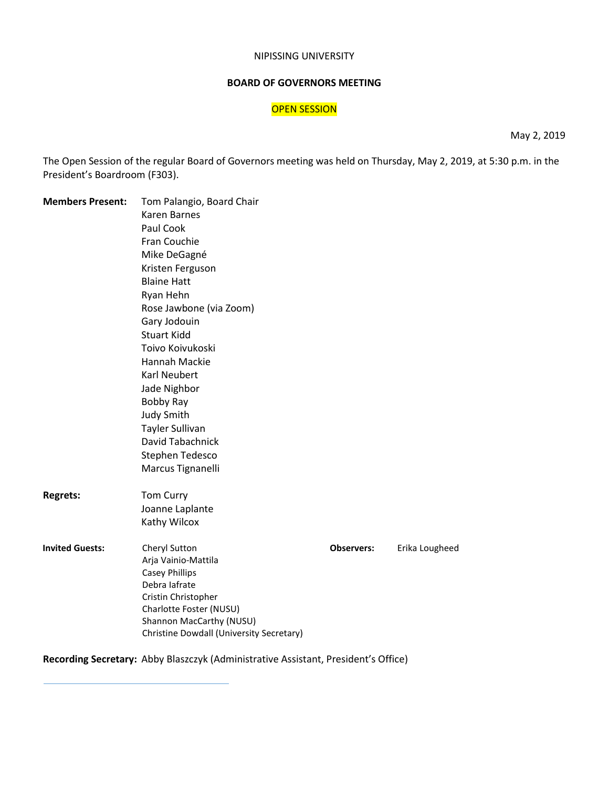#### NIPISSING UNIVERSITY

# **BOARD OF GOVERNORS MEETING**

# OPEN SESSION

May 2, 2019

The Open Session of the regular Board of Governors meeting was held on Thursday, May 2, 2019, at 5:30 p.m. in the President's Boardroom (F303).

| <b>Members Present:</b> | Tom Palangio, Board Chair                           |                   |                |  |
|-------------------------|-----------------------------------------------------|-------------------|----------------|--|
|                         | <b>Karen Barnes</b>                                 |                   |                |  |
|                         | Paul Cook                                           |                   |                |  |
|                         | Fran Couchie                                        |                   |                |  |
|                         | Mike DeGagné                                        |                   |                |  |
|                         | Kristen Ferguson                                    |                   |                |  |
|                         | <b>Blaine Hatt</b>                                  |                   |                |  |
|                         | Ryan Hehn                                           |                   |                |  |
|                         | Rose Jawbone (via Zoom)                             |                   |                |  |
|                         | Gary Jodouin                                        |                   |                |  |
|                         | <b>Stuart Kidd</b>                                  |                   |                |  |
|                         | Toivo Koivukoski                                    |                   |                |  |
|                         | Hannah Mackie                                       |                   |                |  |
|                         | <b>Karl Neubert</b>                                 |                   |                |  |
|                         | Jade Nighbor                                        |                   |                |  |
|                         | Bobby Ray                                           |                   |                |  |
|                         | Judy Smith                                          |                   |                |  |
|                         | <b>Tayler Sullivan</b>                              |                   |                |  |
|                         | David Tabachnick                                    |                   |                |  |
|                         | Stephen Tedesco                                     |                   |                |  |
|                         | Marcus Tignanelli                                   |                   |                |  |
| <b>Regrets:</b>         | Tom Curry                                           |                   |                |  |
|                         | Joanne Laplante                                     |                   |                |  |
|                         | Kathy Wilcox                                        |                   |                |  |
| <b>Invited Guests:</b>  | Cheryl Sutton                                       | <b>Observers:</b> | Erika Lougheed |  |
|                         | Arja Vainio-Mattila                                 |                   |                |  |
|                         | <b>Casey Phillips</b>                               |                   |                |  |
|                         | Debra lafrate                                       |                   |                |  |
|                         | Cristin Christopher                                 |                   |                |  |
|                         | Charlotte Foster (NUSU)<br>Shannon MacCarthy (NUSU) |                   |                |  |
|                         | Christine Dowdall (University Secretary)            |                   |                |  |
|                         |                                                     |                   |                |  |

# **Recording Secretary:** Abby Blaszczyk (Administrative Assistant, President's Office)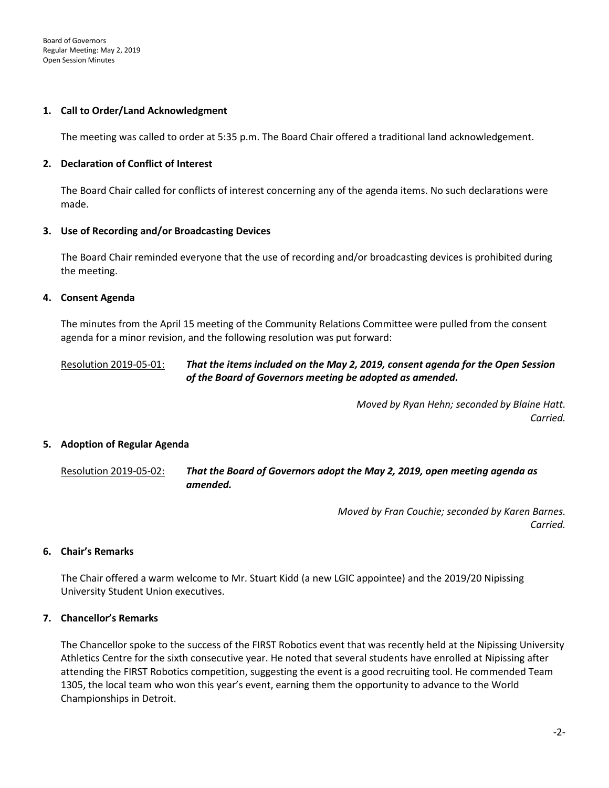### **1. Call to Order/Land Acknowledgment**

The meeting was called to order at 5:35 p.m. The Board Chair offered a traditional land acknowledgement.

### **2. Declaration of Conflict of Interest**

The Board Chair called for conflicts of interest concerning any of the agenda items. No such declarations were made.

### **3. Use of Recording and/or Broadcasting Devices**

The Board Chair reminded everyone that the use of recording and/or broadcasting devices is prohibited during the meeting.

### **4. Consent Agenda**

The minutes from the April 15 meeting of the Community Relations Committee were pulled from the consent agenda for a minor revision, and the following resolution was put forward:

# Resolution 2019-05-01: *That the items included on the May 2, 2019, consent agenda for the Open Session of the Board of Governors meeting be adopted as amended.*

*Moved by Ryan Hehn; seconded by Blaine Hatt. Carried.* 

#### **5. Adoption of Regular Agenda**

Resolution 2019-05-02: *That the Board of Governors adopt the May 2, 2019, open meeting agenda as amended.*

> *Moved by Fran Couchie; seconded by Karen Barnes. Carried.*

# **6. Chair's Remarks**

The Chair offered a warm welcome to Mr. Stuart Kidd (a new LGIC appointee) and the 2019/20 Nipissing University Student Union executives.

# **7. Chancellor's Remarks**

The Chancellor spoke to the success of the FIRST Robotics event that was recently held at the Nipissing University Athletics Centre for the sixth consecutive year. He noted that several students have enrolled at Nipissing after attending the FIRST Robotics competition, suggesting the event is a good recruiting tool. He commended Team 1305, the local team who won this year's event, earning them the opportunity to advance to the World Championships in Detroit.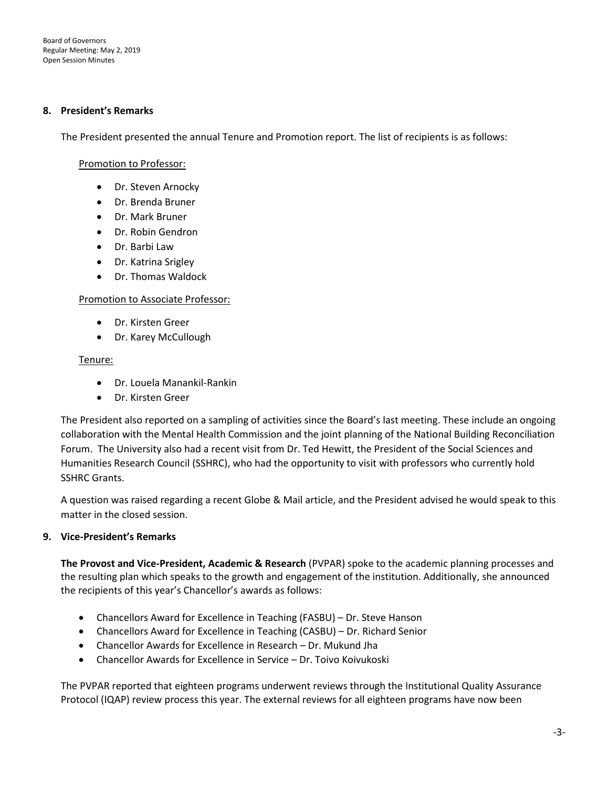Board of Governors Regular Meeting: May 2, 2019 Open Session Minutes

#### **8. President's Remarks**

The President presented the annual Tenure and Promotion report. The list of recipients is as follows:

### Promotion to Professor:

- Dr. Steven Arnocky
- Dr. Brenda Bruner
- Dr. Mark Bruner
- Dr. Robin Gendron
- Dr. Barbi Law
- Dr. Katrina Srigley
- Dr. Thomas Waldock

#### Promotion to Associate Professor:

- Dr. Kirsten Greer
- Dr. Karey McCullough

### Tenure:

- Dr. Louela Manankil-Rankin
- Dr. Kirsten Greer

The President also reported on a sampling of activities since the Board's last meeting. These include an ongoing collaboration with the Mental Health Commission and the joint planning of the National Building Reconciliation Forum. The University also had a recent visit from Dr. Ted Hewitt, the President of the Social Sciences and Humanities Research Council (SSHRC), who had the opportunity to visit with professors who currently hold SSHRC Grants.

A question was raised regarding a recent Globe & Mail article, and the President advised he would speak to this matter in the closed session.

# **9. Vice-President's Remarks**

**The Provost and Vice-President, Academic & Research** (PVPAR) spoke to the academic planning processes and the resulting plan which speaks to the growth and engagement of the institution. Additionally, she announced the recipients of this year's Chancellor's awards as follows:

- Chancellors Award for Excellence in Teaching (FASBU) Dr. Steve Hanson
- Chancellors Award for Excellence in Teaching (CASBU) Dr. Richard Senior
- Chancellor Awards for Excellence in Research Dr. Mukund Jha
- Chancellor Awards for Excellence in Service Dr. Toivo Koivukoski

The PVPAR reported that eighteen programs underwent reviews through the Institutional Quality Assurance Protocol (IQAP) review process this year. The external reviews for all eighteen programs have now been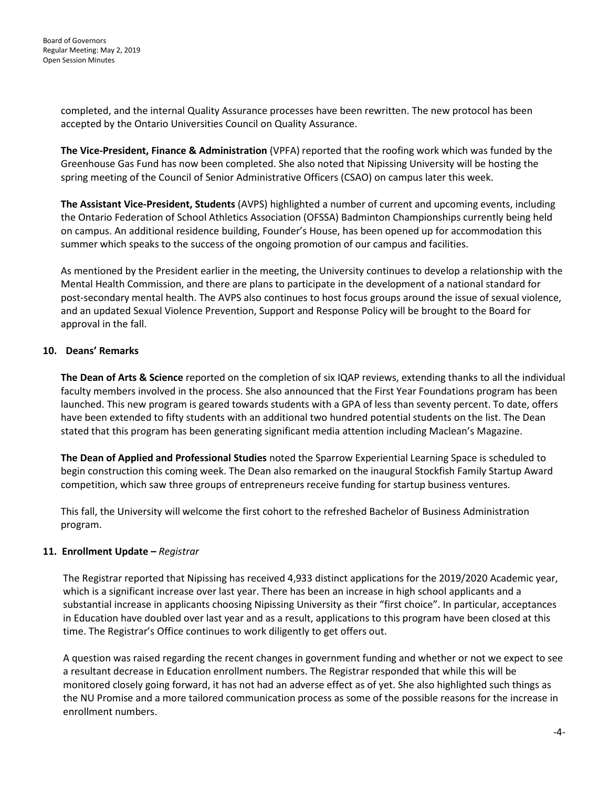completed, and the internal Quality Assurance processes have been rewritten. The new protocol has been accepted by the Ontario Universities Council on Quality Assurance.

**The Vice-President, Finance & Administration** (VPFA) reported that the roofing work which was funded by the Greenhouse Gas Fund has now been completed. She also noted that Nipissing University will be hosting the spring meeting of the Council of Senior Administrative Officers (CSAO) on campus later this week.

**The Assistant Vice-President, Students** (AVPS) highlighted a number of current and upcoming events, including the Ontario Federation of School Athletics Association (OFSSA) Badminton Championships currently being held on campus. An additional residence building, Founder's House, has been opened up for accommodation this summer which speaks to the success of the ongoing promotion of our campus and facilities.

As mentioned by the President earlier in the meeting, the University continues to develop a relationship with the Mental Health Commission, and there are plans to participate in the development of a national standard for post-secondary mental health. The AVPS also continues to host focus groups around the issue of sexual violence, and an updated Sexual Violence Prevention, Support and Response Policy will be brought to the Board for approval in the fall.

# **10. Deans' Remarks**

**The Dean of Arts & Science** reported on the completion of six IQAP reviews, extending thanks to all the individual faculty members involved in the process. She also announced that the First Year Foundations program has been launched. This new program is geared towards students with a GPA of less than seventy percent. To date, offers have been extended to fifty students with an additional two hundred potential students on the list. The Dean stated that this program has been generating significant media attention including Maclean's Magazine.

**The Dean of Applied and Professional Studies** noted the Sparrow Experiential Learning Space is scheduled to begin construction this coming week. The Dean also remarked on the inaugural Stockfish Family Startup Award competition, which saw three groups of entrepreneurs receive funding for startup business ventures.

This fall, the University will welcome the first cohort to the refreshed Bachelor of Business Administration program.

# **11. Enrollment Update –** *Registrar*

The Registrar reported that Nipissing has received 4,933 distinct applications for the 2019/2020 Academic year, which is a significant increase over last year. There has been an increase in high school applicants and a substantial increase in applicants choosing Nipissing University as their "first choice". In particular, acceptances in Education have doubled over last year and as a result, applications to this program have been closed at this time. The Registrar's Office continues to work diligently to get offers out.

A question was raised regarding the recent changes in government funding and whether or not we expect to see a resultant decrease in Education enrollment numbers. The Registrar responded that while this will be monitored closely going forward, it has not had an adverse effect as of yet. She also highlighted such things as the NU Promise and a more tailored communication process as some of the possible reasons for the increase in enrollment numbers.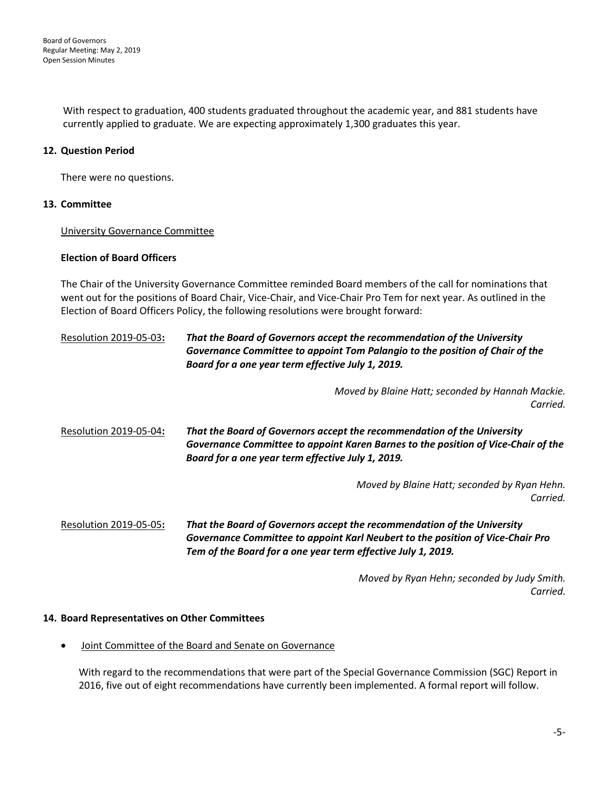With respect to graduation, 400 students graduated throughout the academic year, and 881 students have currently applied to graduate. We are expecting approximately 1,300 graduates this year.

# **12. Question Period**

There were no questions.

# **13. Committee**

University Governance Committee

### **Election of Board Officers**

The Chair of the University Governance Committee reminded Board members of the call for nominations that went out for the positions of Board Chair, Vice-Chair, and Vice-Chair Pro Tem for next year. As outlined in the Election of Board Officers Policy, the following resolutions were brought forward:

# Resolution 2019-05-03**:** *That the Board of Governors accept the recommendation of the University Governance Committee to appoint Tom Palangio to the position of Chair of the Board for a one year term effective July 1, 2019.*

*Moved by Blaine Hatt; seconded by Hannah Mackie. Carried.*

Resolution 2019-05-04**:** *That the Board of Governors accept the recommendation of the University Governance Committee to appoint Karen Barnes to the position of Vice-Chair of the Board for a one year term effective July 1, 2019.*

> *Moved by Blaine Hatt; seconded by Ryan Hehn. Carried.*

Resolution 2019-05-05**:** *That the Board of Governors accept the recommendation of the University Governance Committee to appoint Karl Neubert to the position of Vice-Chair Pro Tem of the Board for a one year term effective July 1, 2019.*

> *Moved by Ryan Hehn; seconded by Judy Smith. Carried.*

# **14. Board Representatives on Other Committees**

• Joint Committee of the Board and Senate on Governance

With regard to the recommendations that were part of the Special Governance Commission (SGC) Report in 2016, five out of eight recommendations have currently been implemented. A formal report will follow.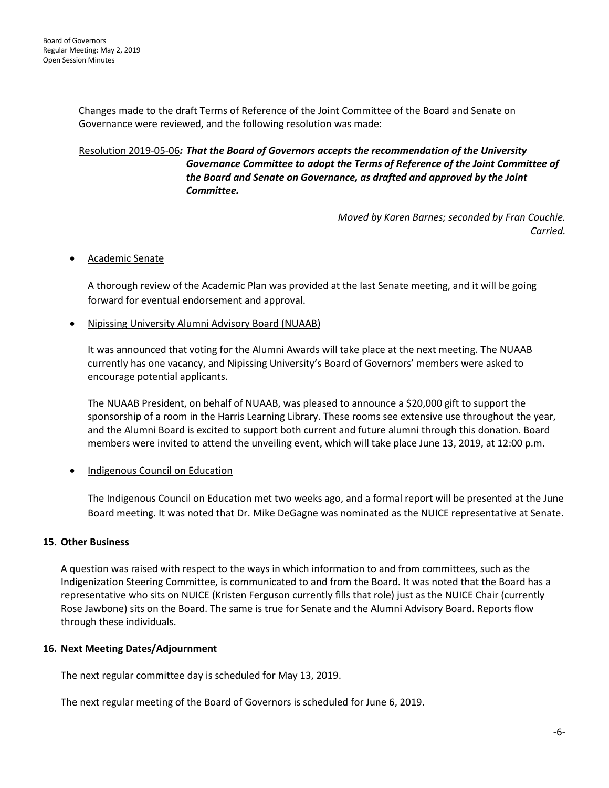Changes made to the draft Terms of Reference of the Joint Committee of the Board and Senate on Governance were reviewed, and the following resolution was made:

# Resolution 2019-05-06*: That the Board of Governors accepts the recommendation of the University Governance Committee to adopt the Terms of Reference of the Joint Committee of the Board and Senate on Governance, as drafted and approved by the Joint Committee.*

*Moved by Karen Barnes; seconded by Fran Couchie. Carried.*

# • Academic Senate

A thorough review of the Academic Plan was provided at the last Senate meeting, and it will be going forward for eventual endorsement and approval.

# • Nipissing University Alumni Advisory Board (NUAAB)

It was announced that voting for the Alumni Awards will take place at the next meeting. The NUAAB currently has one vacancy, and Nipissing University's Board of Governors' members were asked to encourage potential applicants.

The NUAAB President, on behalf of NUAAB, was pleased to announce a \$20,000 gift to support the sponsorship of a room in the Harris Learning Library. These rooms see extensive use throughout the year, and the Alumni Board is excited to support both current and future alumni through this donation. Board members were invited to attend the unveiling event, which will take place June 13, 2019, at 12:00 p.m.

# • Indigenous Council on Education

The Indigenous Council on Education met two weeks ago, and a formal report will be presented at the June Board meeting. It was noted that Dr. Mike DeGagne was nominated as the NUICE representative at Senate.

# **15. Other Business**

A question was raised with respect to the ways in which information to and from committees, such as the Indigenization Steering Committee, is communicated to and from the Board. It was noted that the Board has a representative who sits on NUICE (Kristen Ferguson currently fills that role) just as the NUICE Chair (currently Rose Jawbone) sits on the Board. The same is true for Senate and the Alumni Advisory Board. Reports flow through these individuals.

# **16. Next Meeting Dates/Adjournment**

The next regular committee day is scheduled for May 13, 2019.

The next regular meeting of the Board of Governors is scheduled for June 6, 2019.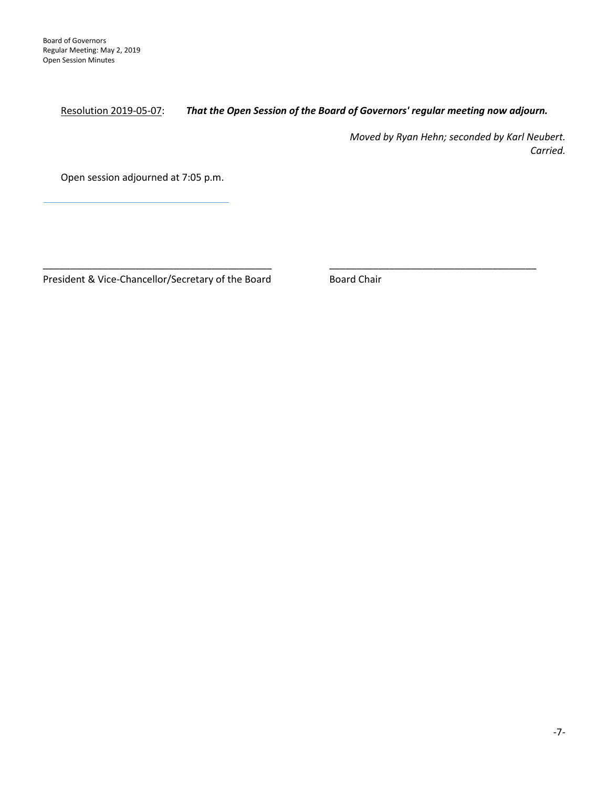Resolution 2019-05-07: *That the Open Session of the Board of Governors' regular meeting now adjourn.*

\_\_\_\_\_\_\_\_\_\_\_\_\_\_\_\_\_\_\_\_\_\_\_\_\_\_\_\_\_\_\_\_\_\_\_\_\_\_\_\_\_\_ \_\_\_\_\_\_\_\_\_\_\_\_\_\_\_\_\_\_\_\_\_\_\_\_\_\_\_\_\_\_\_\_\_\_\_\_\_\_

*Moved by Ryan Hehn; seconded by Karl Neubert. Carried.* 

Open session adjourned at 7:05 p.m.

President & Vice-Chancellor/Secretary of the Board Board Chair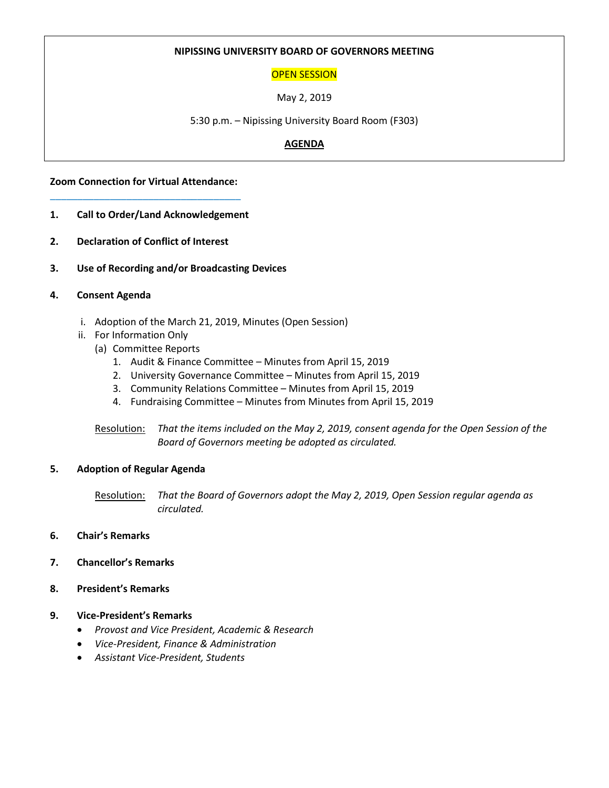# **NIPISSING UNIVERSITY BOARD OF GOVERNORS MEETING**

# OPEN SESSION

May 2, 2019

5:30 p.m. – Nipissing University Board Room (F303)

# **AGENDA**

**Zoom Connection for Virtual Attendance:** \_\_\_\_\_\_\_\_\_\_\_\_\_\_\_\_\_\_\_\_\_\_\_\_\_\_\_\_\_\_\_\_\_\_\_

- **1. Call to Order/Land Acknowledgement**
- **2. Declaration of Conflict of Interest**
- **3. Use of Recording and/or Broadcasting Devices**

### **4. Consent Agenda**

- i. Adoption of the March 21, 2019, Minutes (Open Session)
- ii. For Information Only
	- (a) Committee Reports
		- 1. Audit & Finance Committee Minutes from April 15, 2019
		- 2. University Governance Committee Minutes from April 15, 2019
		- 3. Community Relations Committee Minutes from April 15, 2019
		- 4. Fundraising Committee Minutes from Minutes from April 15, 2019

Resolution: *That the items included on the May 2, 2019, consent agenda for the Open Session of the Board of Governors meeting be adopted as circulated.*

#### **5. Adoption of Regular Agenda**

Resolution: *That the Board of Governors adopt the May 2, 2019, Open Session regular agenda as circulated.*

- **6. Chair's Remarks**
- **7. Chancellor's Remarks**
- **8. President's Remarks**

#### **9. Vice-President's Remarks**

- *Provost and Vice President, Academic & Research*
- *Vice-President, Finance & Administration*
- *Assistant Vice-President, Students*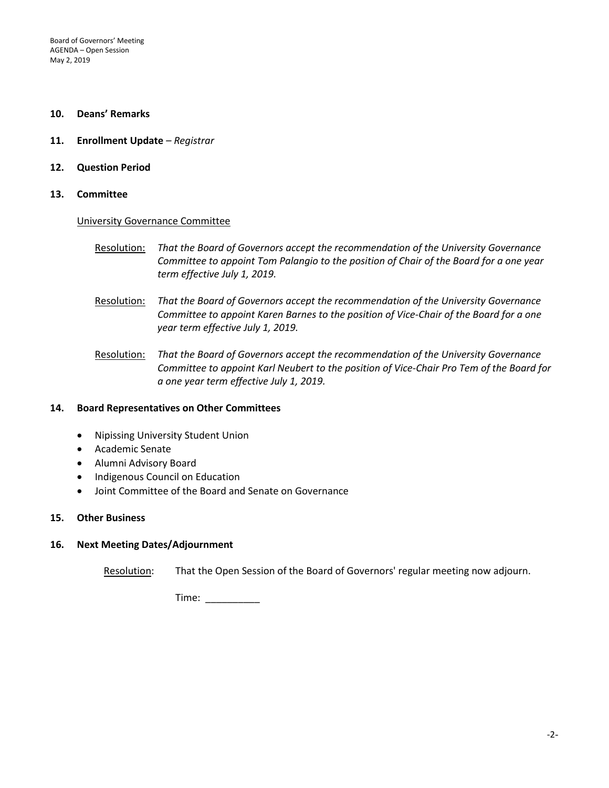Board of Governors' Meeting AGENDA – Open Session May 2, 2019

#### **10. Deans' Remarks**

- **11. Enrollment Update** *– Registrar*
- **12. Question Period**
- **13. Committee**

#### University Governance Committee

- Resolution: *That the Board of Governors accept the recommendation of the University Governance Committee to appoint Tom Palangio to the position of Chair of the Board for a one year term effective July 1, 2019.*
- Resolution: *That the Board of Governors accept the recommendation of the University Governance Committee to appoint Karen Barnes to the position of Vice-Chair of the Board for a one year term effective July 1, 2019.*
- Resolution: *That the Board of Governors accept the recommendation of the University Governance Committee to appoint Karl Neubert to the position of Vice-Chair Pro Tem of the Board for a one year term effective July 1, 2019.*

#### **14. Board Representatives on Other Committees**

- Nipissing University Student Union
- Academic Senate
- Alumni Advisory Board
- Indigenous Council on Education
- Joint Committee of the Board and Senate on Governance

#### **15. Other Business**

#### **16. Next Meeting Dates/Adjournment**

Resolution: That the Open Session of the Board of Governors' regular meeting now adjourn.

Time: \_\_\_\_\_\_\_\_\_\_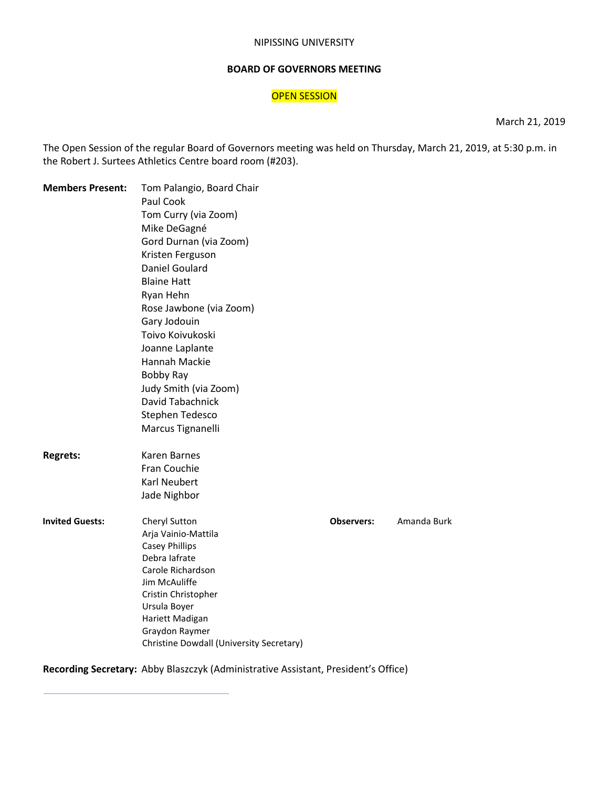#### NIPISSING UNIVERSITY

#### **BOARD OF GOVERNORS MEETING**

# **OPEN SESSION**

March 21, 2019

The Open Session of the regular Board of Governors meeting was held on Thursday, March 21, 2019, at 5:30 p.m. in the Robert J. Surtees Athletics Centre board room (#203).

| <b>Members Present:</b> | Tom Palangio, Board Chair<br>Paul Cook<br>Tom Curry (via Zoom)<br>Mike DeGagné |                   |             |
|-------------------------|--------------------------------------------------------------------------------|-------------------|-------------|
|                         | Gord Durnan (via Zoom)                                                         |                   |             |
|                         | Kristen Ferguson                                                               |                   |             |
|                         | Daniel Goulard                                                                 |                   |             |
|                         | <b>Blaine Hatt</b>                                                             |                   |             |
|                         | Ryan Hehn                                                                      |                   |             |
|                         | Rose Jawbone (via Zoom)                                                        |                   |             |
|                         | Gary Jodouin                                                                   |                   |             |
|                         | Toivo Koivukoski                                                               |                   |             |
|                         | Joanne Laplante                                                                |                   |             |
|                         | Hannah Mackie                                                                  |                   |             |
|                         | <b>Bobby Ray</b>                                                               |                   |             |
|                         | Judy Smith (via Zoom)                                                          |                   |             |
|                         | David Tabachnick                                                               |                   |             |
|                         | Stephen Tedesco                                                                |                   |             |
|                         | Marcus Tignanelli                                                              |                   |             |
| <b>Regrets:</b>         | <b>Karen Barnes</b>                                                            |                   |             |
|                         | Fran Couchie                                                                   |                   |             |
|                         | <b>Karl Neubert</b>                                                            |                   |             |
|                         | Jade Nighbor                                                                   |                   |             |
| <b>Invited Guests:</b>  | Cheryl Sutton                                                                  | <b>Observers:</b> | Amanda Burk |
|                         | Arja Vainio-Mattila                                                            |                   |             |
|                         | <b>Casey Phillips</b>                                                          |                   |             |
|                         | Debra lafrate                                                                  |                   |             |
|                         | Carole Richardson                                                              |                   |             |
|                         | Jim McAuliffe                                                                  |                   |             |
|                         | Cristin Christopher                                                            |                   |             |
|                         | Ursula Boyer                                                                   |                   |             |
|                         | Hariett Madigan                                                                |                   |             |
|                         | Graydon Raymer<br>Christine Dowdall (University Secretary)                     |                   |             |
|                         |                                                                                |                   |             |

**Recording Secretary:** Abby Blaszczyk (Administrative Assistant, President's Office)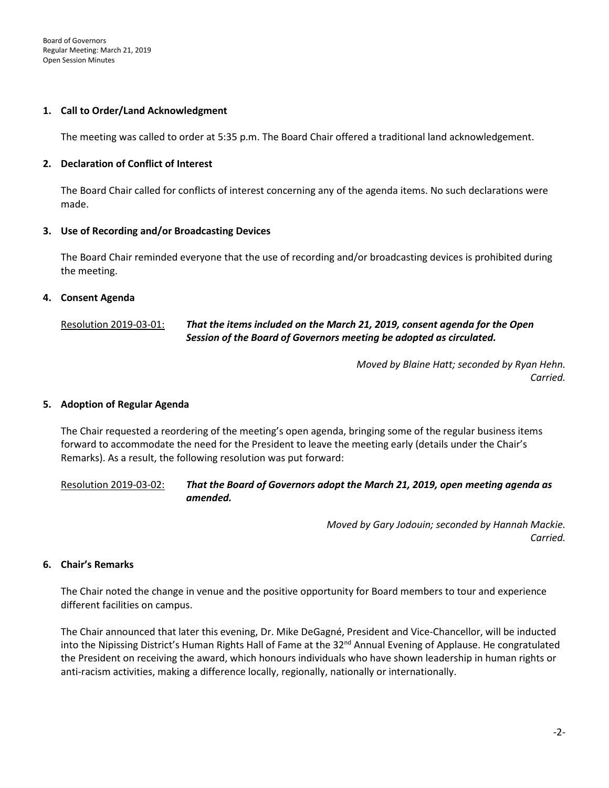### **1. Call to Order/Land Acknowledgment**

The meeting was called to order at 5:35 p.m. The Board Chair offered a traditional land acknowledgement.

### **2. Declaration of Conflict of Interest**

The Board Chair called for conflicts of interest concerning any of the agenda items. No such declarations were made.

### **3. Use of Recording and/or Broadcasting Devices**

The Board Chair reminded everyone that the use of recording and/or broadcasting devices is prohibited during the meeting.

### **4. Consent Agenda**

# Resolution 2019-03-01: *That the items included on the March 21, 2019, consent agenda for the Open Session of the Board of Governors meeting be adopted as circulated.*

*Moved by Blaine Hatt; seconded by Ryan Hehn. Carried.* 

#### **5. Adoption of Regular Agenda**

The Chair requested a reordering of the meeting's open agenda, bringing some of the regular business items forward to accommodate the need for the President to leave the meeting early (details under the Chair's Remarks). As a result, the following resolution was put forward:

Resolution 2019-03-02: *That the Board of Governors adopt the March 21, 2019, open meeting agenda as amended.*

> *Moved by Gary Jodouin; seconded by Hannah Mackie. Carried.*

#### **6. Chair's Remarks**

The Chair noted the change in venue and the positive opportunity for Board members to tour and experience different facilities on campus.

The Chair announced that later this evening, Dr. Mike DeGagné, President and Vice-Chancellor, will be inducted into the Nipissing District's Human Rights Hall of Fame at the 32<sup>nd</sup> Annual Evening of Applause. He congratulated the President on receiving the award, which honours individuals who have shown leadership in human rights or anti-racism activities, making a difference locally, regionally, nationally or internationally.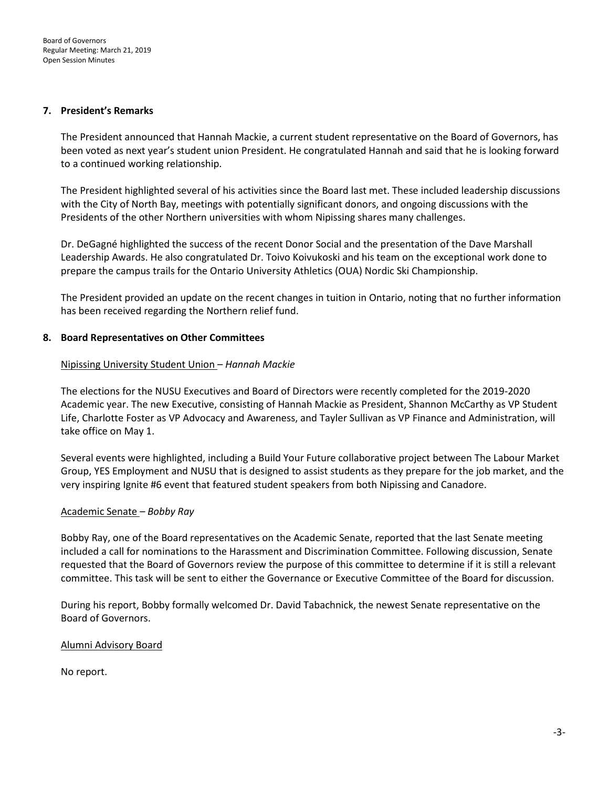#### **7. President's Remarks**

The President announced that Hannah Mackie, a current student representative on the Board of Governors, has been voted as next year's student union President. He congratulated Hannah and said that he is looking forward to a continued working relationship.

The President highlighted several of his activities since the Board last met. These included leadership discussions with the City of North Bay, meetings with potentially significant donors, and ongoing discussions with the Presidents of the other Northern universities with whom Nipissing shares many challenges.

Dr. DeGagné highlighted the success of the recent Donor Social and the presentation of the Dave Marshall Leadership Awards. He also congratulated Dr. Toivo Koivukoski and his team on the exceptional work done to prepare the campus trails for the Ontario University Athletics (OUA) Nordic Ski Championship.

The President provided an update on the recent changes in tuition in Ontario, noting that no further information has been received regarding the Northern relief fund.

### **8. Board Representatives on Other Committees**

### Nipissing University Student Union *– Hannah Mackie*

The elections for the NUSU Executives and Board of Directors were recently completed for the 2019-2020 Academic year. The new Executive, consisting of Hannah Mackie as President, Shannon McCarthy as VP Student Life, Charlotte Foster as VP Advocacy and Awareness, and Tayler Sullivan as VP Finance and Administration, will take office on May 1.

Several events were highlighted, including a Build Your Future collaborative project between The Labour Market Group, YES Employment and NUSU that is designed to assist students as they prepare for the job market, and the very inspiring Ignite #6 event that featured student speakers from both Nipissing and Canadore.

# Academic Senate *– Bobby Ray*

Bobby Ray, one of the Board representatives on the Academic Senate, reported that the last Senate meeting included a call for nominations to the Harassment and Discrimination Committee. Following discussion, Senate requested that the Board of Governors review the purpose of this committee to determine if it is still a relevant committee. This task will be sent to either the Governance or Executive Committee of the Board for discussion.

During his report, Bobby formally welcomed Dr. David Tabachnick, the newest Senate representative on the Board of Governors.

#### Alumni Advisory Board

No report.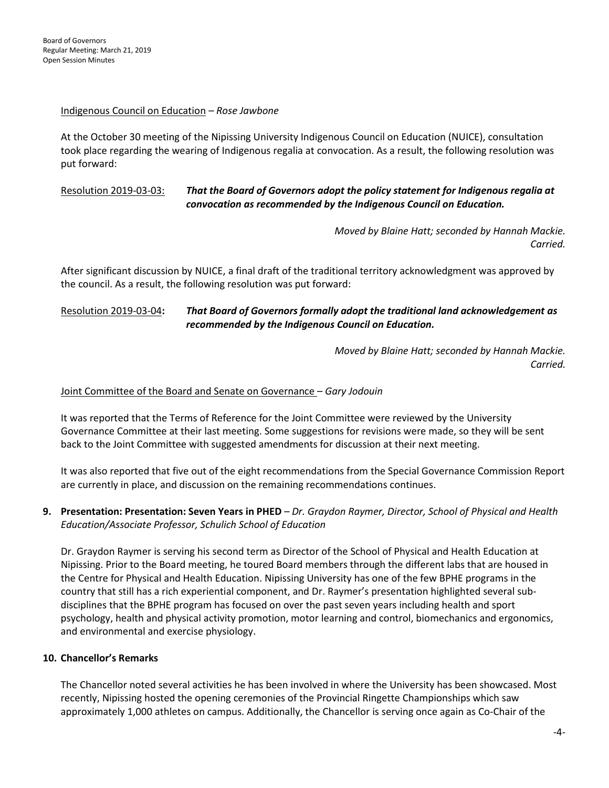### Indigenous Council on Education *– Rose Jawbone*

At the October 30 meeting of the Nipissing University Indigenous Council on Education (NUICE), consultation took place regarding the wearing of Indigenous regalia at convocation. As a result, the following resolution was put forward:

# Resolution 2019-03-03: *That the Board of Governors adopt the policy statement for Indigenous regalia at convocation as recommended by the Indigenous Council on Education.*

*Moved by Blaine Hatt; seconded by Hannah Mackie. Carried.* 

After significant discussion by NUICE, a final draft of the traditional territory acknowledgment was approved by the council. As a result, the following resolution was put forward:

# Resolution 2019-03-04**:** *That Board of Governors formally adopt the traditional land acknowledgement as recommended by the Indigenous Council on Education.*

*Moved by Blaine Hatt; seconded by Hannah Mackie. Carried.*

### Joint Committee of the Board and Senate on Governance – *Gary Jodouin*

It was reported that the Terms of Reference for the Joint Committee were reviewed by the University Governance Committee at their last meeting. Some suggestions for revisions were made, so they will be sent back to the Joint Committee with suggested amendments for discussion at their next meeting.

It was also reported that five out of the eight recommendations from the Special Governance Commission Report are currently in place, and discussion on the remaining recommendations continues.

**9. Presentation: Presentation: Seven Years in PHED** *– Dr. Graydon Raymer, Director, School of Physical and Health Education/Associate Professor, Schulich School of Education*

Dr. Graydon Raymer is serving his second term as Director of the School of Physical and Health Education at Nipissing. Prior to the Board meeting, he toured Board members through the different labs that are housed in the Centre for Physical and Health Education. Nipissing University has one of the few BPHE programs in the country that still has a rich experiential component, and Dr. Raymer's presentation highlighted several subdisciplines that the BPHE program has focused on over the past seven years including health and sport psychology, health and physical activity promotion, motor learning and control, biomechanics and ergonomics, and environmental and exercise physiology.

# **10. Chancellor's Remarks**

The Chancellor noted several activities he has been involved in where the University has been showcased. Most recently, Nipissing hosted the opening ceremonies of the Provincial Ringette Championships which saw approximately 1,000 athletes on campus. Additionally, the Chancellor is serving once again as Co-Chair of the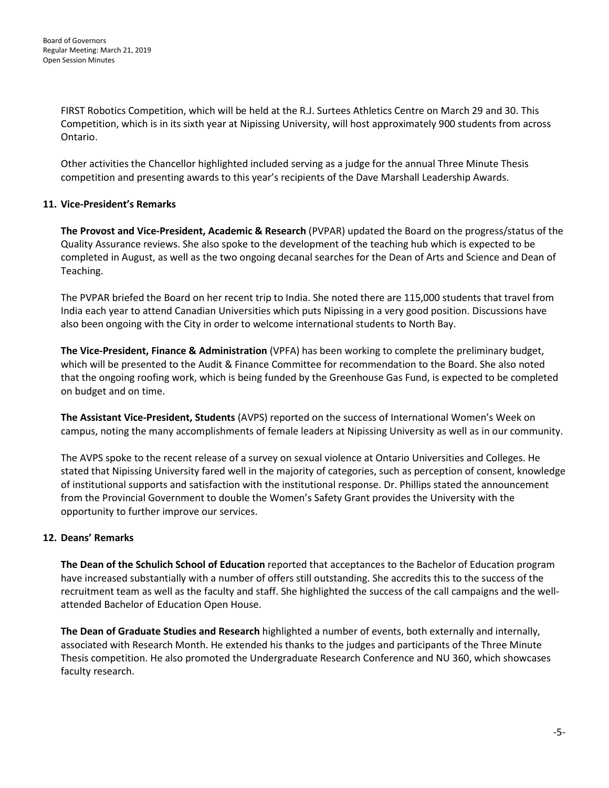FIRST Robotics Competition, which will be held at the R.J. Surtees Athletics Centre on March 29 and 30. This Competition, which is in its sixth year at Nipissing University, will host approximately 900 students from across Ontario.

Other activities the Chancellor highlighted included serving as a judge for the annual Three Minute Thesis competition and presenting awards to this year's recipients of the Dave Marshall Leadership Awards.

# **11. Vice-President's Remarks**

**The Provost and Vice-President, Academic & Research** (PVPAR) updated the Board on the progress/status of the Quality Assurance reviews. She also spoke to the development of the teaching hub which is expected to be completed in August, as well as the two ongoing decanal searches for the Dean of Arts and Science and Dean of Teaching.

The PVPAR briefed the Board on her recent trip to India. She noted there are 115,000 students that travel from India each year to attend Canadian Universities which puts Nipissing in a very good position. Discussions have also been ongoing with the City in order to welcome international students to North Bay.

**The Vice-President, Finance & Administration** (VPFA) has been working to complete the preliminary budget, which will be presented to the Audit & Finance Committee for recommendation to the Board. She also noted that the ongoing roofing work, which is being funded by the Greenhouse Gas Fund, is expected to be completed on budget and on time.

**The Assistant Vice-President, Students** (AVPS) reported on the success of International Women's Week on campus, noting the many accomplishments of female leaders at Nipissing University as well as in our community.

The AVPS spoke to the recent release of a survey on sexual violence at Ontario Universities and Colleges. He stated that Nipissing University fared well in the majority of categories, such as perception of consent, knowledge of institutional supports and satisfaction with the institutional response. Dr. Phillips stated the announcement from the Provincial Government to double the Women's Safety Grant provides the University with the opportunity to further improve our services.

# **12. Deans' Remarks**

**The Dean of the Schulich School of Education** reported that acceptances to the Bachelor of Education program have increased substantially with a number of offers still outstanding. She accredits this to the success of the recruitment team as well as the faculty and staff. She highlighted the success of the call campaigns and the wellattended Bachelor of Education Open House.

**The Dean of Graduate Studies and Research** highlighted a number of events, both externally and internally, associated with Research Month. He extended his thanks to the judges and participants of the Three Minute Thesis competition. He also promoted the Undergraduate Research Conference and NU 360, which showcases faculty research.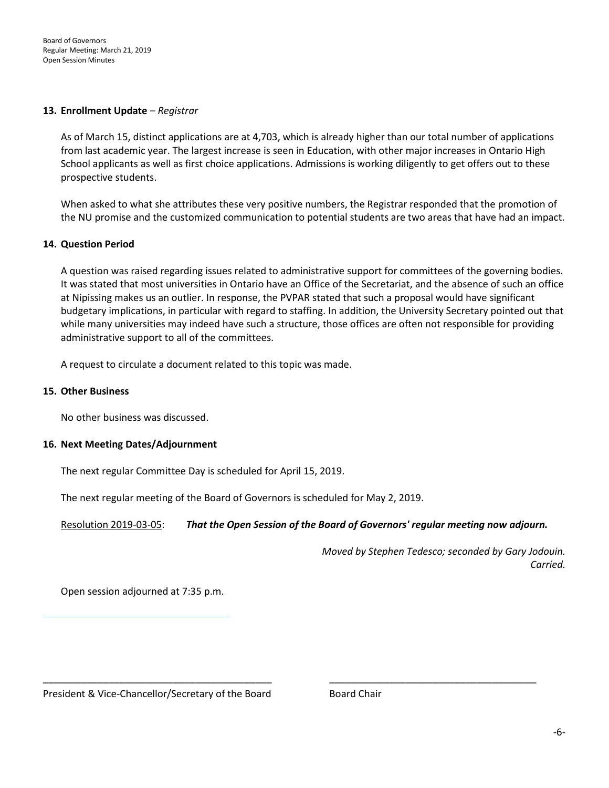#### **13. Enrollment Update** *– Registrar*

As of March 15, distinct applications are at 4,703, which is already higher than our total number of applications from last academic year. The largest increase is seen in Education, with other major increases in Ontario High School applicants as well as first choice applications. Admissions is working diligently to get offers out to these prospective students.

When asked to what she attributes these very positive numbers, the Registrar responded that the promotion of the NU promise and the customized communication to potential students are two areas that have had an impact.

### **14. Question Period**

A question was raised regarding issues related to administrative support for committees of the governing bodies. It was stated that most universities in Ontario have an Office of the Secretariat, and the absence of such an office at Nipissing makes us an outlier. In response, the PVPAR stated that such a proposal would have significant budgetary implications, in particular with regard to staffing. In addition, the University Secretary pointed out that while many universities may indeed have such a structure, those offices are often not responsible for providing administrative support to all of the committees.

A request to circulate a document related to this topic was made.

#### **15. Other Business**

No other business was discussed.

#### **16. Next Meeting Dates/Adjournment**

The next regular Committee Day is scheduled for April 15, 2019.

The next regular meeting of the Board of Governors is scheduled for May 2, 2019.

Resolution 2019-03-05: *That the Open Session of the Board of Governors' regular meeting now adjourn.*

\_\_\_\_\_\_\_\_\_\_\_\_\_\_\_\_\_\_\_\_\_\_\_\_\_\_\_\_\_\_\_\_\_\_\_\_\_\_\_\_\_\_ \_\_\_\_\_\_\_\_\_\_\_\_\_\_\_\_\_\_\_\_\_\_\_\_\_\_\_\_\_\_\_\_\_\_\_\_\_\_

*Moved by Stephen Tedesco; seconded by Gary Jodouin. Carried.* 

Open session adjourned at 7:35 p.m.

President & Vice-Chancellor/Secretary of the Board Board Board Chair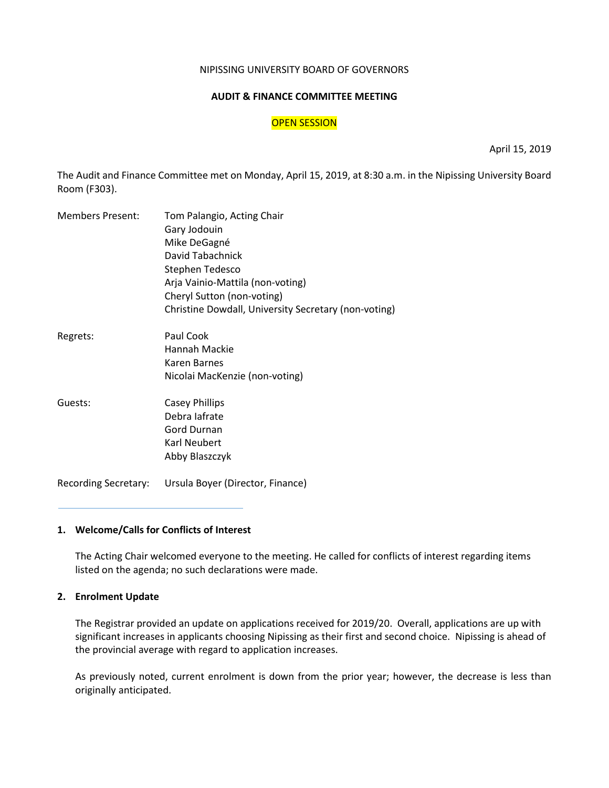#### NIPISSING UNIVERSITY BOARD OF GOVERNORS

#### **AUDIT & FINANCE COMMITTEE MEETING**

#### OPEN SESSION

April 15, 2019

The Audit and Finance Committee met on Monday, April 15, 2019, at 8:30 a.m. in the Nipissing University Board Room (F303).

| <b>Members Present:</b>     | Tom Palangio, Acting Chair                           |
|-----------------------------|------------------------------------------------------|
|                             | Gary Jodouin                                         |
|                             | Mike DeGagné                                         |
|                             | David Tabachnick                                     |
|                             | Stephen Tedesco                                      |
|                             | Arja Vainio-Mattila (non-voting)                     |
|                             | Cheryl Sutton (non-voting)                           |
|                             | Christine Dowdall, University Secretary (non-voting) |
| Regrets:                    | Paul Cook                                            |
|                             | Hannah Mackie                                        |
|                             | Karen Barnes                                         |
|                             | Nicolai MacKenzie (non-voting)                       |
| Guests:                     | <b>Casey Phillips</b>                                |
|                             | Debra lafrate                                        |
|                             | Gord Durnan                                          |
|                             | Karl Neubert                                         |
|                             | Abby Blaszczyk                                       |
| <b>Recording Secretary:</b> | Ursula Boyer (Director, Finance)                     |

#### **1. Welcome/Calls for Conflicts of Interest**

The Acting Chair welcomed everyone to the meeting. He called for conflicts of interest regarding items listed on the agenda; no such declarations were made.

#### **2. Enrolment Update**

The Registrar provided an update on applications received for 2019/20. Overall, applications are up with significant increases in applicants choosing Nipissing as their first and second choice. Nipissing is ahead of the provincial average with regard to application increases.

As previously noted, current enrolment is down from the prior year; however, the decrease is less than originally anticipated.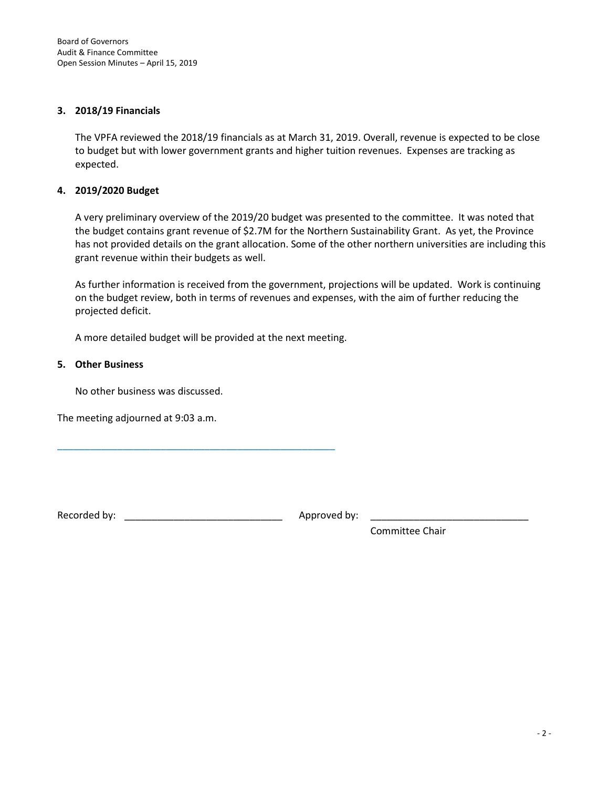#### **3. 2018/19 Financials**

The VPFA reviewed the 2018/19 financials as at March 31, 2019. Overall, revenue is expected to be close to budget but with lower government grants and higher tuition revenues. Expenses are tracking as expected.

### **4. 2019/2020 Budget**

A very preliminary overview of the 2019/20 budget was presented to the committee. It was noted that the budget contains grant revenue of \$2.7M for the Northern Sustainability Grant. As yet, the Province has not provided details on the grant allocation. Some of the other northern universities are including this grant revenue within their budgets as well.

As further information is received from the government, projections will be updated. Work is continuing on the budget review, both in terms of revenues and expenses, with the aim of further reducing the projected deficit.

A more detailed budget will be provided at the next meeting.

### **5. Other Business**

No other business was discussed.

The meeting adjourned at 9:03 a.m.

Recorded by: \_\_\_\_\_\_\_\_\_\_\_\_\_\_\_\_\_\_\_\_\_\_\_\_\_\_\_\_\_ Approved by: \_\_\_\_\_\_\_\_\_\_\_\_\_\_\_\_\_\_\_\_\_\_\_\_\_\_\_\_\_

\_\_\_\_\_\_\_\_\_\_\_\_\_\_\_\_\_\_\_\_\_\_\_\_\_\_\_\_\_\_\_\_\_\_\_\_\_\_\_\_\_\_\_\_\_\_\_\_\_\_\_

Committee Chair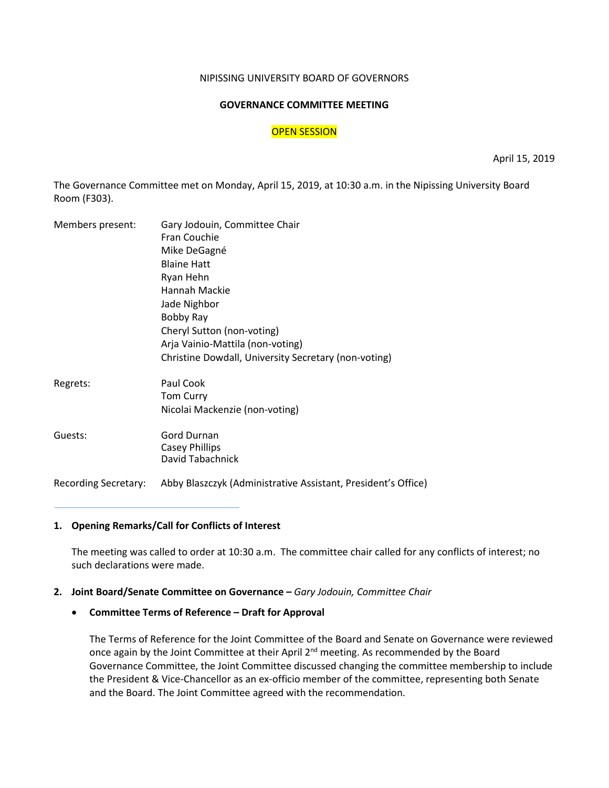#### NIPISSING UNIVERSITY BOARD OF GOVERNORS

#### **GOVERNANCE COMMITTEE MEETING**

### **OPEN SESSION**

April 15, 2019

The Governance Committee met on Monday, April 15, 2019, at 10:30 a.m. in the Nipissing University Board Room (F303).

| Members present:            | Gary Jodouin, Committee Chair                                 |
|-----------------------------|---------------------------------------------------------------|
|                             | Fran Couchie                                                  |
|                             | Mike DeGagné                                                  |
|                             | <b>Blaine Hatt</b>                                            |
|                             | Ryan Hehn                                                     |
|                             | Hannah Mackie                                                 |
|                             | Jade Nighbor                                                  |
|                             | Bobby Ray                                                     |
|                             | Cheryl Sutton (non-voting)                                    |
|                             | Arja Vainio-Mattila (non-voting)                              |
|                             | Christine Dowdall, University Secretary (non-voting)          |
| Regrets:                    | Paul Cook                                                     |
|                             | <b>Tom Curry</b>                                              |
|                             | Nicolai Mackenzie (non-voting)                                |
| Guests:                     | <b>Gord Durnan</b>                                            |
|                             | <b>Casey Phillips</b>                                         |
|                             | David Tabachnick                                              |
| <b>Recording Secretary:</b> | Abby Blaszczyk (Administrative Assistant, President's Office) |

# **1. Opening Remarks/Call for Conflicts of Interest**

The meeting was called to order at 10:30 a.m. The committee chair called for any conflicts of interest; no such declarations were made.

#### **2. Joint Board/Senate Committee on Governance** *– Gary Jodouin, Committee Chair*

# • **Committee Terms of Reference – Draft for Approval**

The Terms of Reference for the Joint Committee of the Board and Senate on Governance were reviewed once again by the Joint Committee at their April 2<sup>nd</sup> meeting. As recommended by the Board Governance Committee, the Joint Committee discussed changing the committee membership to include the President & Vice-Chancellor as an ex-officio member of the committee, representing both Senate and the Board. The Joint Committee agreed with the recommendation.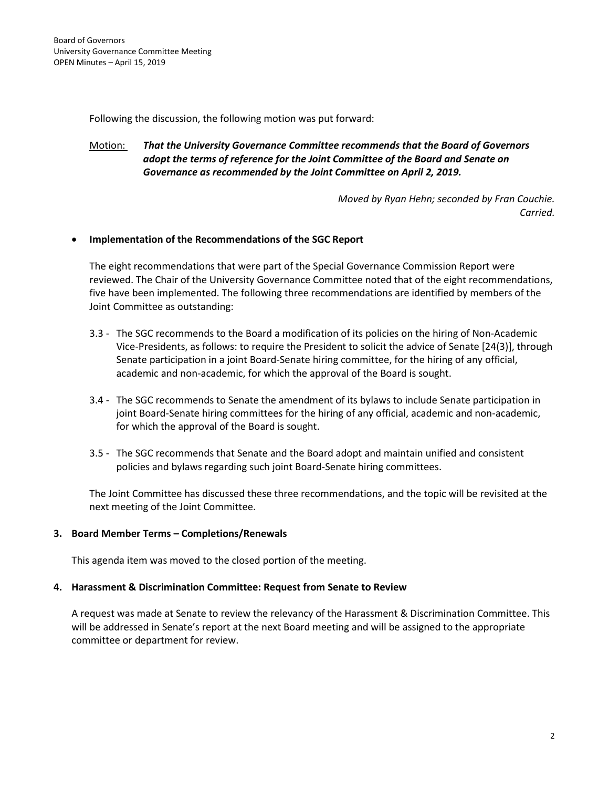Following the discussion, the following motion was put forward:

# Motion: *That the University Governance Committee recommends that the Board of Governors adopt the terms of reference for the Joint Committee of the Board and Senate on Governance as recommended by the Joint Committee on April 2, 2019.*

*Moved by Ryan Hehn; seconded by Fran Couchie. Carried.*

# • **Implementation of the Recommendations of the SGC Report**

The eight recommendations that were part of the Special Governance Commission Report were reviewed. The Chair of the University Governance Committee noted that of the eight recommendations, five have been implemented. The following three recommendations are identified by members of the Joint Committee as outstanding:

- 3.3 The SGC recommends to the Board a modification of its policies on the hiring of Non-Academic Vice-Presidents, as follows: to require the President to solicit the advice of Senate [24(3)], through Senate participation in a joint Board-Senate hiring committee, for the hiring of any official, academic and non-academic, for which the approval of the Board is sought.
- 3.4 The SGC recommends to Senate the amendment of its bylaws to include Senate participation in joint Board-Senate hiring committees for the hiring of any official, academic and non-academic, for which the approval of the Board is sought.
- 3.5 The SGC recommends that Senate and the Board adopt and maintain unified and consistent policies and bylaws regarding such joint Board-Senate hiring committees.

The Joint Committee has discussed these three recommendations, and the topic will be revisited at the next meeting of the Joint Committee.

# **3. Board Member Terms – Completions/Renewals**

This agenda item was moved to the closed portion of the meeting.

# **4. Harassment & Discrimination Committee: Request from Senate to Review**

A request was made at Senate to review the relevancy of the Harassment & Discrimination Committee. This will be addressed in Senate's report at the next Board meeting and will be assigned to the appropriate committee or department for review.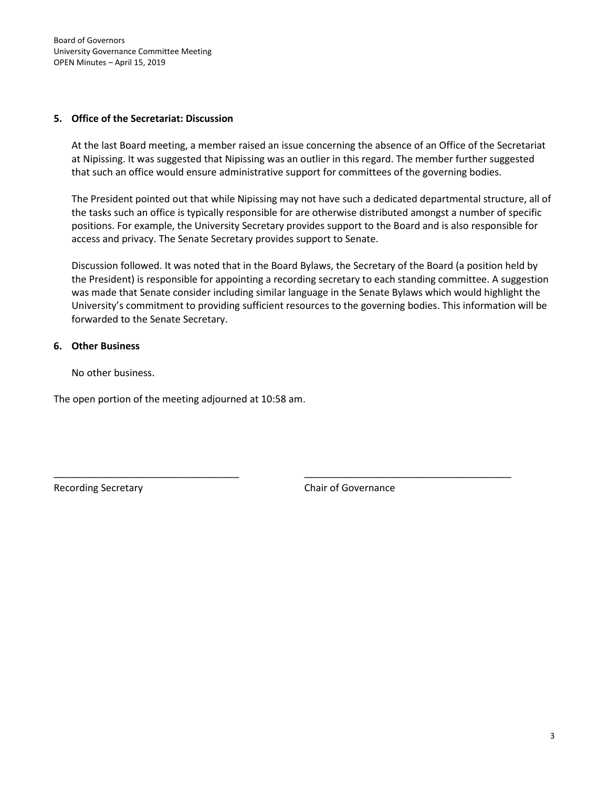Board of Governors University Governance Committee Meeting OPEN Minutes – April 15, 2019

### **5. Office of the Secretariat: Discussion**

At the last Board meeting, a member raised an issue concerning the absence of an Office of the Secretariat at Nipissing. It was suggested that Nipissing was an outlier in this regard. The member further suggested that such an office would ensure administrative support for committees of the governing bodies.

The President pointed out that while Nipissing may not have such a dedicated departmental structure, all of the tasks such an office is typically responsible for are otherwise distributed amongst a number of specific positions. For example, the University Secretary provides support to the Board and is also responsible for access and privacy. The Senate Secretary provides support to Senate.

Discussion followed. It was noted that in the Board Bylaws, the Secretary of the Board (a position held by the President) is responsible for appointing a recording secretary to each standing committee. A suggestion was made that Senate consider including similar language in the Senate Bylaws which would highlight the University's commitment to providing sufficient resources to the governing bodies. This information will be forwarded to the Senate Secretary.

\_\_\_\_\_\_\_\_\_\_\_\_\_\_\_\_\_\_\_\_\_\_\_\_\_\_\_\_\_\_\_\_\_\_ \_\_\_\_\_\_\_\_\_\_\_\_\_\_\_\_\_\_\_\_\_\_\_\_\_\_\_\_\_\_\_\_\_\_\_\_\_\_

# **6. Other Business**

No other business.

The open portion of the meeting adjourned at 10:58 am.

Recording Secretary **Chair of Governance**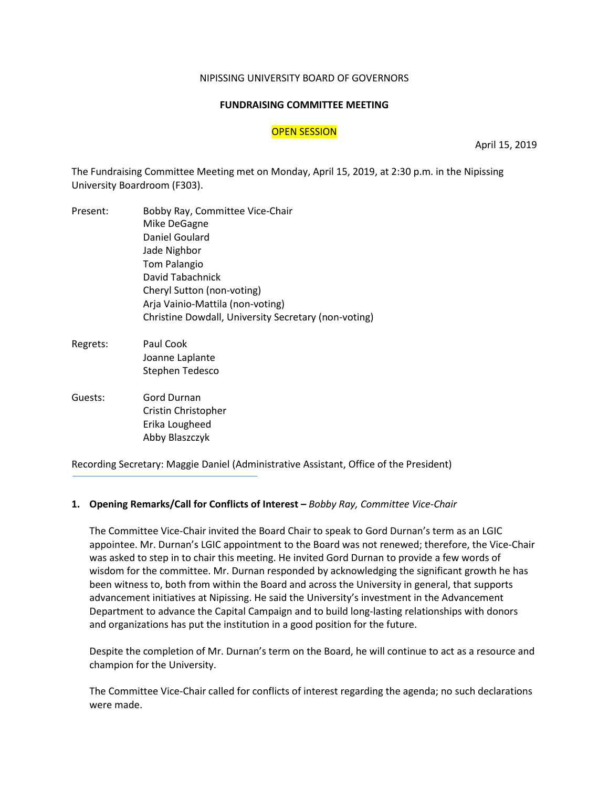#### NIPISSING UNIVERSITY BOARD OF GOVERNORS

#### **FUNDRAISING COMMITTEE MEETING**

#### OPEN SESSION

April 15, 2019

The Fundraising Committee Meeting met on Monday, April 15, 2019, at 2:30 p.m. in the Nipissing University Boardroom (F303).

- Present: Bobby Ray, Committee Vice-Chair Mike DeGagne Daniel Goulard Jade Nighbor Tom Palangio David Tabachnick Cheryl Sutton (non-voting) Arja Vainio-Mattila (non-voting) Christine Dowdall, University Secretary (non-voting)
- Regrets: Paul Cook Joanne Laplante Stephen Tedesco
- Guests: Gord Durnan Cristin Christopher Erika Lougheed Abby Blaszczyk

Recording Secretary: Maggie Daniel (Administrative Assistant, Office of the President)

#### **1. Opening Remarks/Call for Conflicts of Interest –** *Bobby Ray, Committee Vice-Chair*

The Committee Vice-Chair invited the Board Chair to speak to Gord Durnan's term as an LGIC appointee. Mr. Durnan's LGIC appointment to the Board was not renewed; therefore, the Vice-Chair was asked to step in to chair this meeting. He invited Gord Durnan to provide a few words of wisdom for the committee. Mr. Durnan responded by acknowledging the significant growth he has been witness to, both from within the Board and across the University in general, that supports advancement initiatives at Nipissing. He said the University's investment in the Advancement Department to advance the Capital Campaign and to build long-lasting relationships with donors and organizations has put the institution in a good position for the future.

Despite the completion of Mr. Durnan's term on the Board, he will continue to act as a resource and champion for the University.

The Committee Vice-Chair called for conflicts of interest regarding the agenda; no such declarations were made.